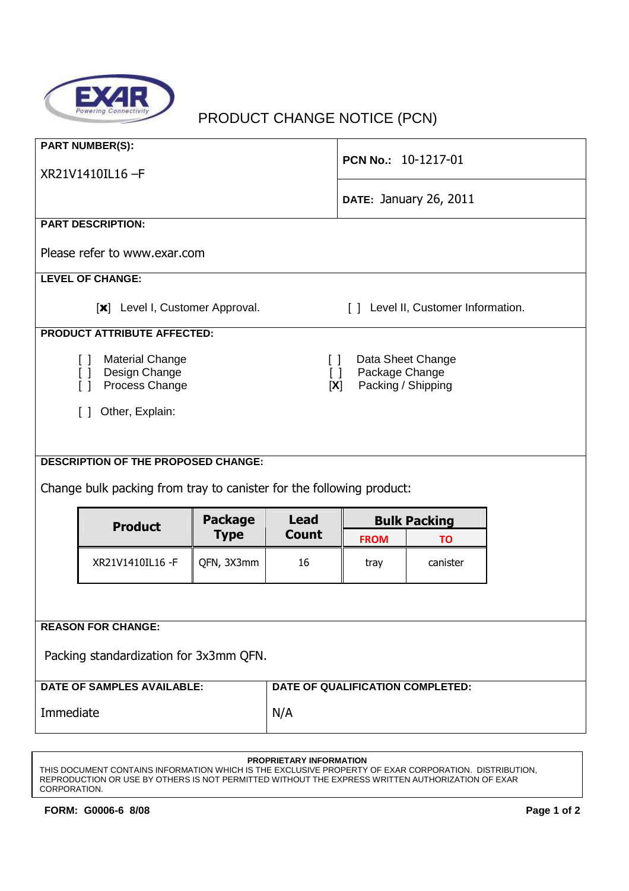

## PRODUCT CHANGE NOTICE (PCN)

| <b>PART NUMBER(S):</b><br>XR21V1410IL16-F                                                                      |                                            |                                                                                      | PCN No.: 10-1217-01              |                               |          |  |  |  |
|----------------------------------------------------------------------------------------------------------------|--------------------------------------------|--------------------------------------------------------------------------------------|----------------------------------|-------------------------------|----------|--|--|--|
|                                                                                                                |                                            |                                                                                      |                                  | <b>DATE: January 26, 2011</b> |          |  |  |  |
| <b>PART DESCRIPTION:</b>                                                                                       |                                            |                                                                                      |                                  |                               |          |  |  |  |
| Please refer to www.exar.com                                                                                   |                                            |                                                                                      |                                  |                               |          |  |  |  |
| <b>LEVEL OF CHANGE:</b>                                                                                        |                                            |                                                                                      |                                  |                               |          |  |  |  |
| [x] Level I, Customer Approval.<br>[ ] Level II, Customer Information.                                         |                                            |                                                                                      |                                  |                               |          |  |  |  |
| <b>PRODUCT ATTRIBUTE AFFECTED:</b>                                                                             |                                            |                                                                                      |                                  |                               |          |  |  |  |
| <b>Material Change</b><br>Design Change<br>$\Box$<br>Process Change<br>$\lceil$ 1<br>Other, Explain:<br>$\Box$ |                                            | Data Sheet Change<br>$\Box$<br>Package Change<br>$\Box$<br>Packing / Shipping<br>[X] |                                  |                               |          |  |  |  |
|                                                                                                                |                                            |                                                                                      |                                  |                               |          |  |  |  |
|                                                                                                                | <b>DESCRIPTION OF THE PROPOSED CHANGE:</b> |                                                                                      |                                  |                               |          |  |  |  |
| Change bulk packing from tray to canister for the following product:                                           |                                            |                                                                                      |                                  |                               |          |  |  |  |
|                                                                                                                |                                            | <b>Package</b>                                                                       | <b>Lead</b><br><b>Count</b>      | <b>Bulk Packing</b>           |          |  |  |  |
|                                                                                                                | <b>Product</b><br><b>Type</b>              |                                                                                      |                                  | <b>FROM</b>                   | TO       |  |  |  |
|                                                                                                                | XR21V1410IL16 -F                           | QFN, 3X3mm                                                                           | 16                               | tray                          | canister |  |  |  |
|                                                                                                                |                                            |                                                                                      |                                  |                               |          |  |  |  |
| <b>REASON FOR CHANGE:</b>                                                                                      |                                            |                                                                                      |                                  |                               |          |  |  |  |
| Packing standardization for 3x3mm QFN.                                                                         |                                            |                                                                                      |                                  |                               |          |  |  |  |
| <b>DATE OF SAMPLES AVAILABLE:</b>                                                                              |                                            |                                                                                      | DATE OF QUALIFICATION COMPLETED: |                               |          |  |  |  |
| Immediate                                                                                                      |                                            |                                                                                      | N/A                              |                               |          |  |  |  |

## **PROPRIETARY INFORMATION**

THIS DOCUMENT CONTAINS INFORMATION WHICH IS THE EXCLUSIVE PROPERTY OF EXAR CORPORATION. DISTRIBUTION, REPRODUCTION OR USE BY OTHERS IS NOT PERMITTED WITHOUT THE EXPRESS WRITTEN AUTHORIZATION OF EXAR CORPORATION.